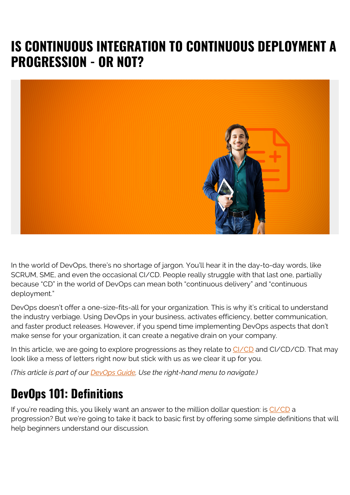# **IS CONTINUOUS INTEGRATION TO CONTINUOUS DEPLOYMENT A PROGRESSION - OR NOT?**



In the world of DevOps, there's no shortage of jargon. You'll hear it in the day-to-day words, like SCRUM, SME, and even the occasional CI/CD. People really struggle with that last one, partially because "CD" in the world of DevOps can mean both "continuous delivery" and "continuous deployment."

DevOps doesn't offer a one-size-fits-all for your organization. This is why it's critical to understand the industry verbiage. Using DevOps in your business, activates efficiency, better communication, and faster product releases. However, if you spend time implementing DevOps aspects that don't make sense for your organization, it can create a negative drain on your company.

In this article, we are going to explore progressions as they relate to [CI/CD](https://blogs.bmc.com/blogs/what-is-ci-cd/) and CI/CD/CD. That may look like a mess of letters right now but stick with us as we clear it up for you.

*(This article is part of our [DevOps Guide](https://blogs.bmc.com/blogs/devops-basics-introduction/). Use the right-hand menu to navigate.)*

### **DevOps 101: Definitions**

If you're reading this, you likely want an answer to the million dollar question: is [CI/CD](https://www.bmc.com/blogs/what-is-ci-cd/) a progression? But we're going to take it back to basic first by offering some simple definitions that will help beginners understand our discussion.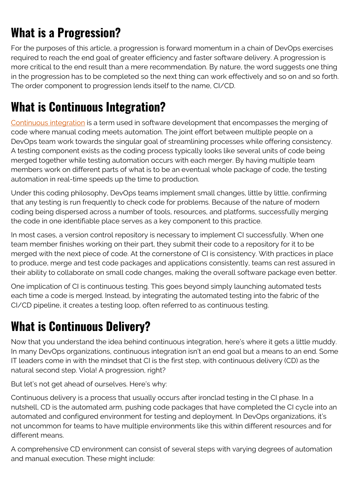## **What is a Progression?**

For the purposes of this article, a progression is forward momentum in a chain of DevOps exercises required to reach the end goal of greater efficiency and faster software delivery. A progression is more critical to the end result than a mere recommendation. By nature, the word suggests one thing in the progression has to be completed so the next thing can work effectively and so on and so forth. The order component to progression lends itself to the name, CI/CD.

### **What is Continuous Integration?**

[Continuous integration](https://www.bmc.com/blogs/what-is-ci-cd/) is a term used in software development that encompasses the merging of code where manual coding meets automation. The joint effort between multiple people on a DevOps team work towards the singular goal of streamlining processes while offering consistency. A testing component exists as the coding process typically looks like several units of code being merged together while testing automation occurs with each merger. By having multiple team members work on different parts of what is to be an eventual whole package of code, the testing automation in real-time speeds up the time to production.

Under this coding philosophy, DevOps teams implement small changes, little by little, confirming that any testing is run frequently to check code for problems. Because of the nature of modern coding being dispersed across a number of tools, resources, and platforms, successfully merging the code in one identifiable place serves as a key component to this practice.

In most cases, a version control repository is necessary to implement CI successfully. When one team member finishes working on their part, they submit their code to a repository for it to be merged with the next piece of code. At the cornerstone of CI is consistency. With practices in place to produce, merge and test code packages and applications consistently, teams can rest assured in their ability to collaborate on small code changes, making the overall software package even better.

One implication of CI is continuous testing. This goes beyond simply launching automated tests each time a code is merged. Instead, by integrating the automated testing into the fabric of the CI/CD pipeline, it creates a testing loop, often referred to as continuous testing.

#### **What is Continuous Delivery?**

Now that you understand the idea behind continuous integration, here's where it gets a little muddy. In many DevOps organizations, continuous integration isn't an end goal but a means to an end. Some IT leaders come in with the mindset that CI is the first step, with continuous delivery (CD) as the natural second step. Viola! A progression, right?

But let's not get ahead of ourselves. Here's why:

Continuous delivery is a process that usually occurs after ironclad testing in the CI phase. In a nutshell, CD is the automated arm, pushing code packages that have completed the CI cycle into an automated and configured environment for testing and deployment. In DevOps organizations, it's not uncommon for teams to have multiple environments like this within different resources and for different means.

A comprehensive CD environment can consist of several steps with varying degrees of automation and manual execution. These might include: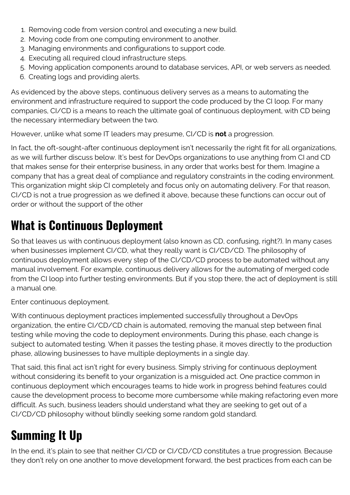- 1. Removing code from version control and executing a new build.
- 2. Moving code from one computing environment to another.
- 3. Managing environments and configurations to support code.
- 4. Executing all required cloud infrastructure steps.
- 5. Moving application components around to database services, API, or web servers as needed.
- 6. Creating logs and providing alerts.

As evidenced by the above steps, continuous delivery serves as a means to automating the environment and infrastructure required to support the code produced by the CI loop. For many companies, CI/CD is a means to reach the ultimate goal of continuous deployment, with CD being the necessary intermediary between the two.

However, unlike what some IT leaders may presume, CI/CD is **not** a progression.

In fact, the oft-sought-after continuous deployment isn't necessarily the right fit for all organizations, as we will further discuss below. It's best for DevOps organizations to use anything from CI and CD that makes sense for their enterprise business, in any order that works best for them. Imagine a company that has a great deal of compliance and regulatory constraints in the coding environment. This organization might skip CI completely and focus only on automating delivery. For that reason, CI/CD is not a true progression as we defined it above, because these functions can occur out of order or without the support of the other

### **What is Continuous Deployment**

So that leaves us with continuous deployment (also known as CD, confusing, right?). In many cases when businesses implement CI/CD, what they really want is CI/CD/CD. The philosophy of continuous deployment allows every step of the CI/CD/CD process to be automated without any manual involvement. For example, continuous delivery allows for the automating of merged code from the CI loop into further testing environments. But if you stop there, the act of deployment is still a manual one.

Enter continuous deployment.

With continuous deployment practices implemented successfully throughout a DevOps organization, the entire CI/CD/CD chain is automated, removing the manual step between final testing while moving the code to deployment environments. During this phase, each change is subject to automated testing. When it passes the testing phase, it moves directly to the production phase, allowing businesses to have multiple deployments in a single day.

That said, this final act isn't right for every business. Simply striving for continuous deployment without considering its benefit to your organization is a misguided act. One practice common in continuous deployment which encourages teams to hide work in progress behind features could cause the development process to become more cumbersome while making refactoring even more difficult. As such, business leaders should understand what they are seeking to get out of a CI/CD/CD philosophy without blindly seeking some random gold standard.

# **Summing It Up**

In the end, it's plain to see that neither CI/CD or CI/CD/CD constitutes a true progression. Because they don't rely on one another to move development forward, the best practices from each can be